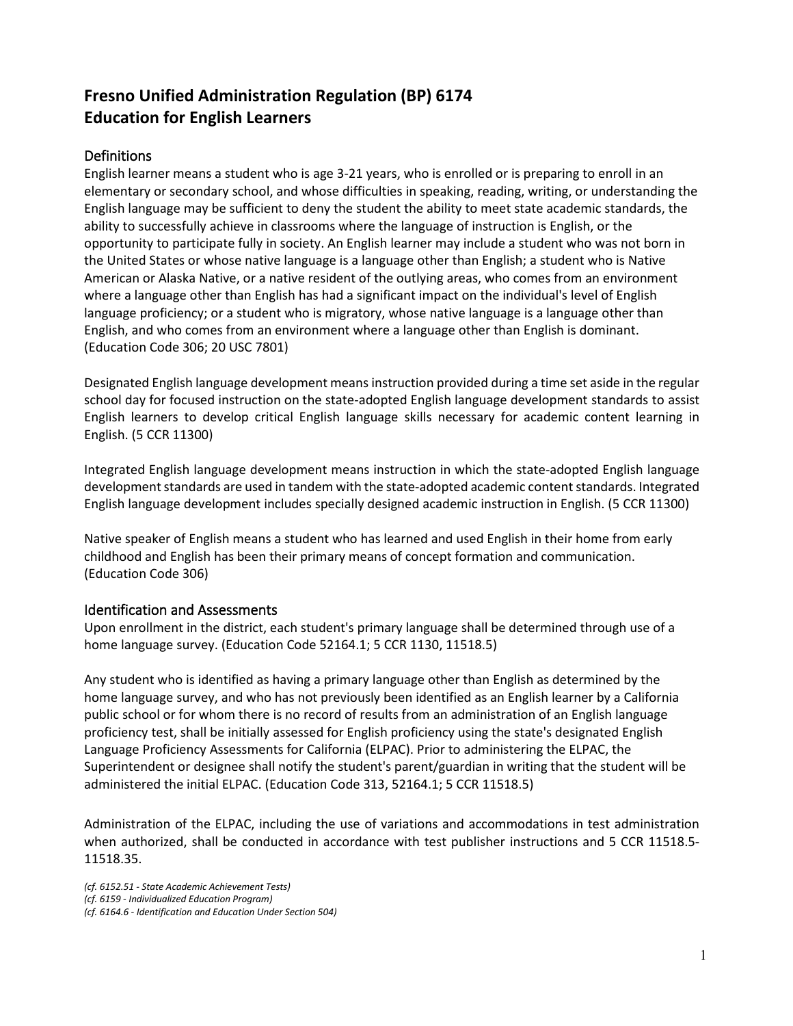# **Fresno Unified Administration Regulation (BP) 6174 Education for English Learners**

## **Definitions**

English learner means a student who is age 3-21 years, who is enrolled or is preparing to enroll in an elementary or secondary school, and whose difficulties in speaking, reading, writing, or understanding the English language may be sufficient to deny the student the ability to meet state academic standards, the ability to successfully achieve in classrooms where the language of instruction is English, or the opportunity to participate fully in society. An English learner may include a student who was not born in the United States or whose native language is a language other than English; a student who is Native American or Alaska Native, or a native resident of the outlying areas, who comes from an environment where a language other than English has had a significant impact on the individual's level of English language proficiency; or a student who is migratory, whose native language is a language other than English, and who comes from an environment where a language other than English is dominant. (Education Code 306; 20 USC 7801)

Designated English language development means instruction provided during a time set aside in the regular school day for focused instruction on the state-adopted English language development standards to assist English learners to develop critical English language skills necessary for academic content learning in English. (5 CCR 11300)

Integrated English language development means instruction in which the state-adopted English language development standards are used in tandem with the state-adopted academic content standards. Integrated English language development includes specially designed academic instruction in English. (5 CCR 11300)

Native speaker of English means a student who has learned and used English in their home from early childhood and English has been their primary means of concept formation and communication. (Education Code 306)

#### Identification and Assessments

Upon enrollment in the district, each student's primary language shall be determined through use of a home language survey. (Education Code 52164.1; 5 CCR 1130, 11518.5)

Any student who is identified as having a primary language other than English as determined by the home language survey, and who has not previously been identified as an English learner by a California public school or for whom there is no record of results from an administration of an English language proficiency test, shall be initially assessed for English proficiency using the state's designated English Language Proficiency Assessments for California (ELPAC). Prior to administering the ELPAC, the Superintendent or designee shall notify the student's parent/guardian in writing that the student will be administered the initial ELPAC. (Education Code 313, 52164.1; 5 CCR 11518.5)

Administration of the ELPAC, including the use of variations and accommodations in test administration when authorized, shall be conducted in accordance with test publisher instructions and 5 CCR 11518.5- 11518.35.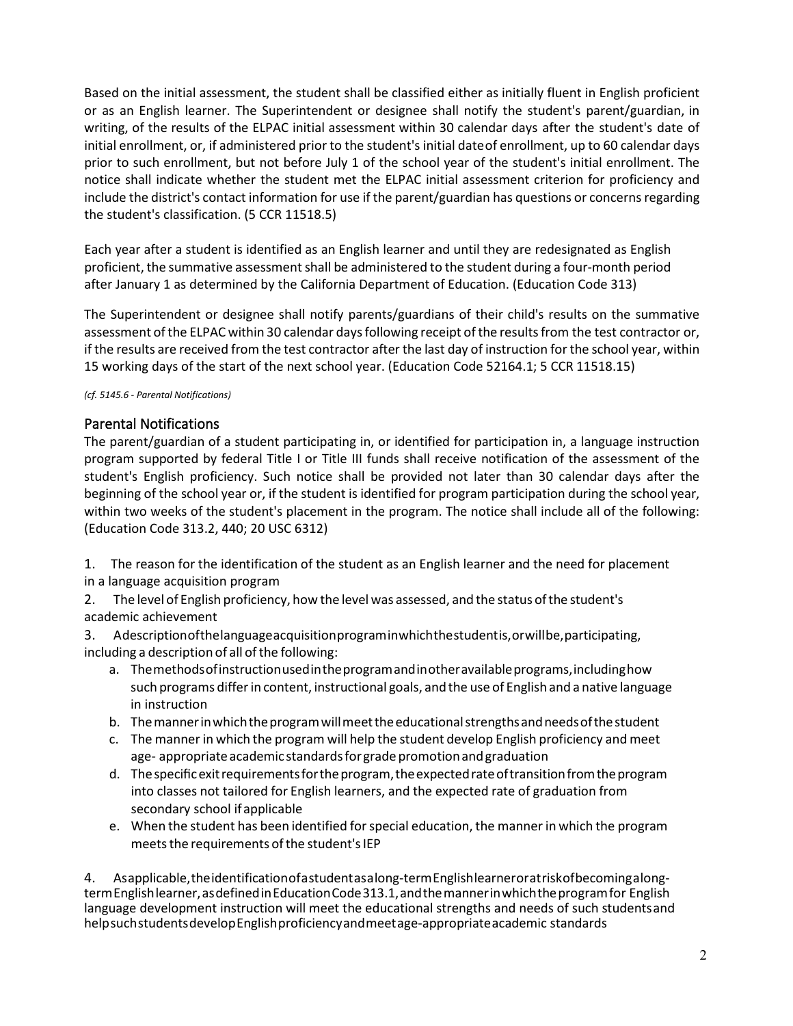Based on the initial assessment, the student shall be classified either as initially fluent in English proficient or as an English learner. The Superintendent or designee shall notify the student's parent/guardian, in writing, of the results of the ELPAC initial assessment within 30 calendar days after the student's date of initial enrollment, or, if administered prior to the student's initial dateof enrollment, up to 60 calendar days prior to such enrollment, but not before July 1 of the school year of the student's initial enrollment. The notice shall indicate whether the student met the ELPAC initial assessment criterion for proficiency and include the district's contact information for use if the parent/guardian has questions or concerns regarding the student's classification. (5 CCR 11518.5)

Each year after a student is identified as an English learner and until they are redesignated as English proficient, the summative assessment shall be administered to the student during a four-month period after January 1 as determined by the California Department of Education. (Education Code 313)

The Superintendent or designee shall notify parents/guardians of their child's results on the summative assessment of the ELPAC within 30 calendar days following receipt of the results from the test contractor or, if the results are received from the test contractor after the last day of instruction for the school year, within 15 working days of the start of the next school year. (Education Code 52164.1; 5 CCR 11518.15)

#### *(cf. 5145.6 - Parental Notifications)*

#### Parental Notifications

The parent/guardian of a student participating in, or identified for participation in, a language instruction program supported by federal Title I or Title III funds shall receive notification of the assessment of the student's English proficiency. Such notice shall be provided not later than 30 calendar days after the beginning of the school year or, if the student is identified for program participation during the school year, within two weeks of the student's placement in the program. The notice shall include all of the following: (Education Code 313.2, 440; 20 USC 6312)

1. The reason for the identification of the student as an English learner and the need for placement in a language acquisition program

2. The level of English proficiency, how the level was assessed, and the status ofthe student's academic achievement

3. Adescriptionofthelanguageacquisitionprograminwhichthestudentis,orwillbe,participating, including a description of all of the following:

- a. Themethodsofinstructionusedintheprogramandinotheravailableprograms,includinghow such programs differin content, instructional goals, andthe use of English and a native language in instruction
- b. Themannerinwhichtheprogramwillmeettheeducationalstrengthsandneedsofthestudent
- c. The mannerin which the program will help the student develop English proficiency and meet age- appropriate academic standards for grade promotion and graduation
- d. The specific exit requirements for the program, the expected rate of transition from the program into classes not tailored for English learners, and the expected rate of graduation from secondary school ifapplicable
- e. When the student has been identified forspecial education, the manner in which the program meets the requirements of the student's IEP

4. Asapplicable,theidentificationofastudentasalong-termEnglishlearneroratriskofbecomingalongtermEnglishlearner,asdefinedinEducationCode313.1,andthemannerinwhichtheprogramfor English language development instruction will meet the educational strengths and needs of such studentsand helpsuchstudentsdevelopEnglishproficiencyandmeetage-appropriateacademic standards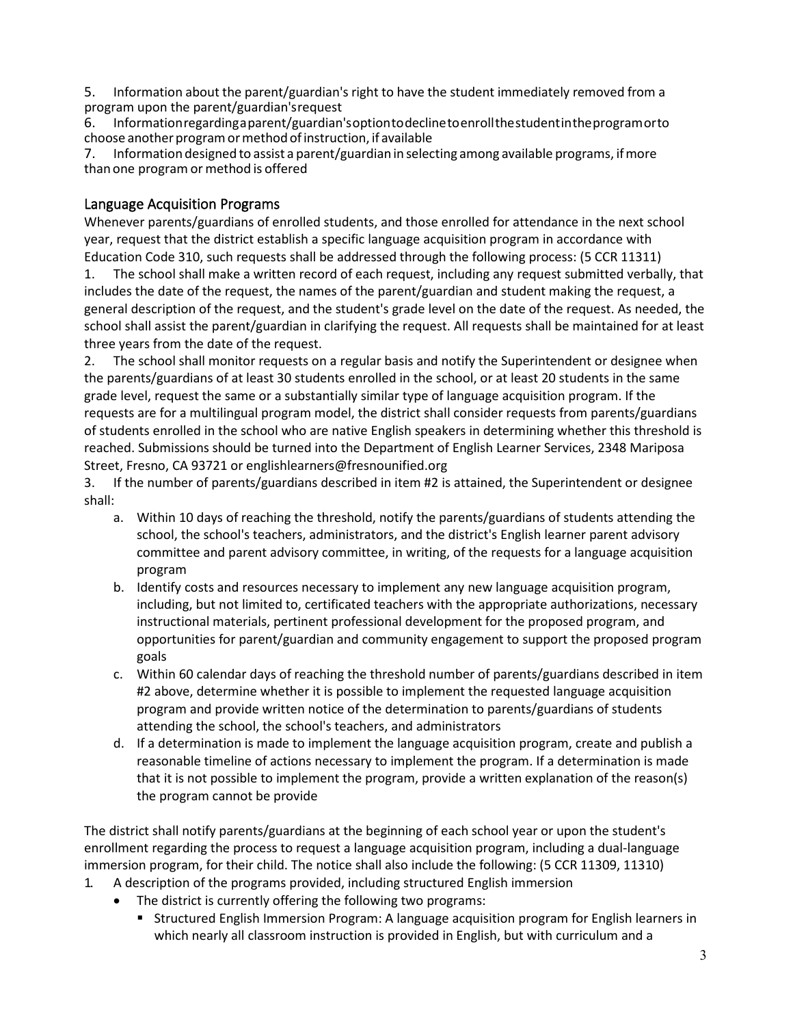5. Information about the parent/guardian's right to have the student immediately removed from a program upon the parent/guardian'srequest

6. Informationregardingaparent/guardian'soptiontodeclinetoenrollthestudentintheprogramorto choose another program or method of instruction, if available

7. Information designed to assist a parent/guardian in selecting among available programs, ifmore than one program or method is offered

### Language Acquisition Programs

Whenever parents/guardians of enrolled students, and those enrolled for attendance in the next school year, request that the district establish a specific language acquisition program in accordance with Education Code 310, such requests shall be addressed through the following process: (5 CCR 11311)

1. The school shall make a written record of each request, including any request submitted verbally, that includes the date of the request, the names of the parent/guardian and student making the request, a general description of the request, and the student's grade level on the date of the request. As needed, the school shall assist the parent/guardian in clarifying the request. All requests shall be maintained for at least three years from the date of the request.

2. The school shall monitor requests on a regular basis and notify the Superintendent or designee when the parents/guardians of at least 30 students enrolled in the school, or at least 20 students in the same grade level, request the same or a substantially similar type of language acquisition program. If the requests are for a multilingual program model, the district shall consider requests from parents/guardians of students enrolled in the school who are native English speakers in determining whether this threshold is reached. Submissions should be turned into the Department of English Learner Services, 2348 Mariposa Street, Fresno, CA 93721 or [englishlearners@fresnounified.org](mailto:englishlearners@fresnounified.org)

3. If the number of parents/guardians described in item #2 is attained, the Superintendent or designee shall:

- a. Within 10 days of reaching the threshold, notify the parents/guardians of students attending the school, the school's teachers, administrators, and the district's English learner parent advisory committee and parent advisory committee, in writing, of the requests for a language acquisition program
- b. Identify costs and resources necessary to implement any new language acquisition program, including, but not limited to, certificated teachers with the appropriate authorizations, necessary instructional materials, pertinent professional development for the proposed program, and opportunities for parent/guardian and community engagement to support the proposed program goals
- c. Within 60 calendar days of reaching the threshold number of parents/guardians described in item #2 above, determine whether it is possible to implement the requested language acquisition program and provide written notice of the determination to parents/guardians of students attending the school, the school's teachers, and administrators
- d. If a determination is made to implement the language acquisition program, create and publish a reasonable timeline of actions necessary to implement the program. If a determination is made that it is not possible to implement the program, provide a written explanation of the reason(s) the program cannot be provide

The district shall notify parents/guardians at the beginning of each school year or upon the student's enrollment regarding the process to request a language acquisition program, including a dual-language immersion program, for their child. The notice shall also include the following: (5 CCR 11309, 11310)

- 1. A description of the programs provided, including structured English immersion
	- The district is currently offering the following two programs:
		- **Structured English Immersion Program: A language acquisition program for English learners in** which nearly all classroom instruction is provided in English, but with curriculum and a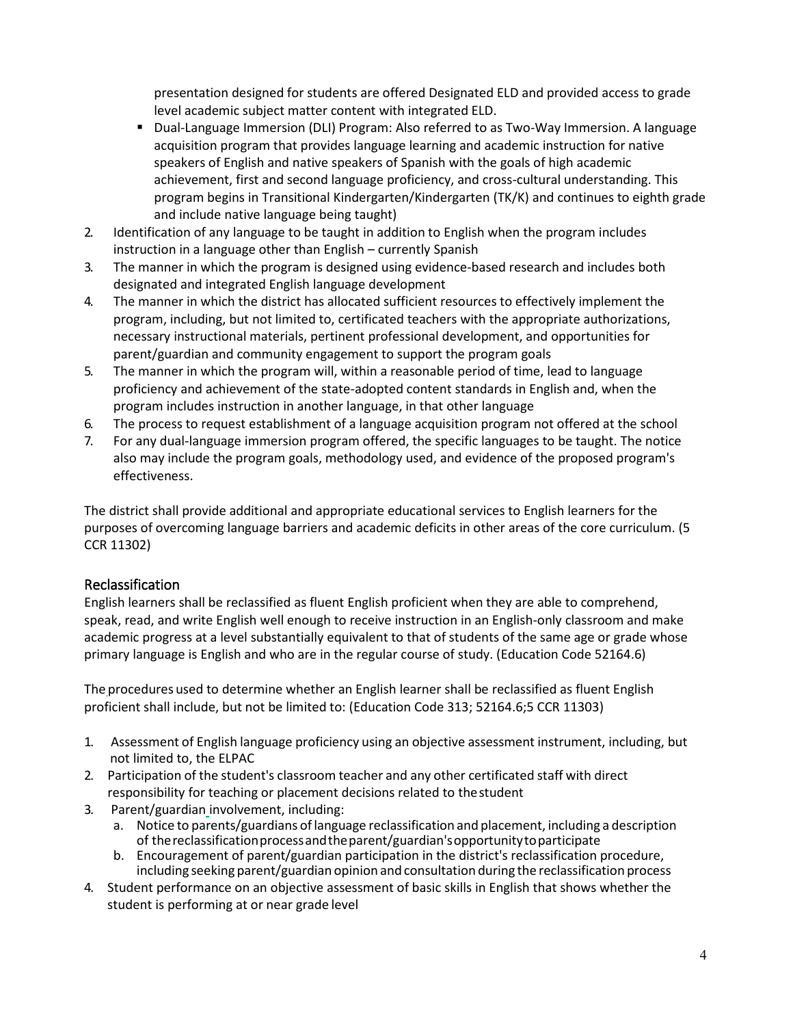presentation designed for students are offered Designated ELD and provided access to grade level academic subject matter content with integrated ELD.

- Dual-Language Immersion (DLI) Program: Also referred to as Two-Way Immersion. A language acquisition program that provides language learning and academic instruction for native speakers of English and native speakers of Spanish with the goals of high academic achievement, first and second language proficiency, and cross-cultural understanding. This program begins in Transitional Kindergarten/Kindergarten (TK/K) and continues to eighth grade and include native language being taught)
- 2. Identification of any language to be taught in addition to English when the program includes instruction in a language other than English – currently Spanish
- 3. The manner in which the program is designed using evidence-based research and includes both designated and integrated English language development
- 4. The manner in which the district has allocated sufficient resources to effectively implement the program, including, but not limited to, certificated teachers with the appropriate authorizations, necessary instructional materials, pertinent professional development, and opportunities for parent/guardian and community engagement to support the program goals
- 5. The manner in which the program will, within a reasonable period of time, lead to language proficiency and achievement of the state-adopted content standards in English and, when the program includes instruction in another language, in that other language
- 6. The process to request establishment of a language acquisition program not offered at the school
- 7. For any dual-language immersion program offered, the specific languages to be taught. The notice also may include the program goals, methodology used, and evidence of the proposed program's effectiveness.

The district shall provide additional and appropriate educational services to English learners for the purposes of overcoming language barriers and academic deficits in other areas of the core curriculum. (5 CCR 11302)

## Reclassification

English learners shall be reclassified as fluent English proficient when they are able to comprehend, speak, read, and write English well enough to receive instruction in an English-only classroom and make academic progress at a level substantially equivalent to that of students of the same age or grade whose primary language is English and who are in the regular course of study. (Education Code 52164.6)

The procedures used to determine whether an English learner shall be reclassified as fluent English proficient shall include, but not be limited to: (Education Code 313; 52164.6;5 CCR 11303)

- 1. Assessment of English language proficiency using an objective assessment instrument, including, but not limited to, the ELPAC
- 2. Participation of the student's classroom teacher and any other certificated staff with direct responsibility for teaching or placement decisions related to thestudent
- 3. Parent/guardian involvement, including:
	- a. Notice to parents/guardians oflanguage reclassification and placement, including a description of thereclassificationprocessandtheparent/guardian'sopportunitytoparticipate
	- b. Encouragement of parent/guardian participation in the district's reclassification procedure, including seeking parent/guardian opinion and consultation during the reclassification process
- 4. Student performance on an objective assessment of basic skills in English that shows whether the student is performing at or near grade level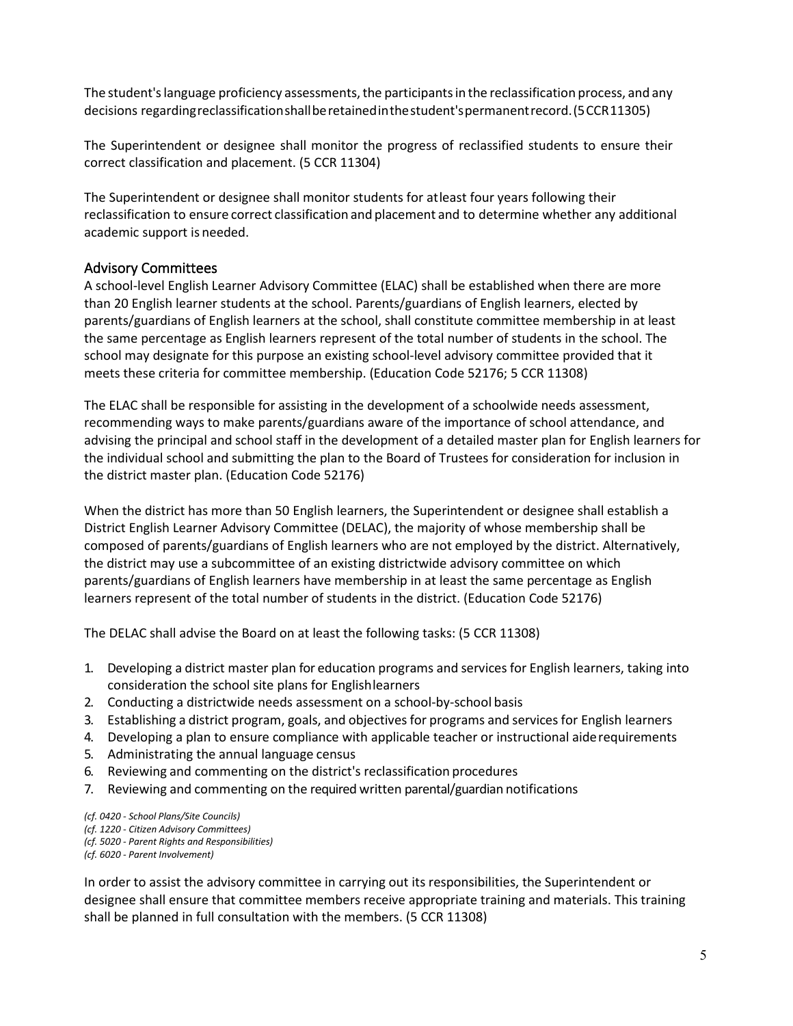The student's language proficiency assessments, the participants in the reclassification process, and any decisions regardingreclassificationshallberetainedinthestudent'spermanentrecord.(5CCR11305)

The Superintendent or designee shall monitor the progress of reclassified students to ensure their correct classification and placement. (5 CCR 11304)

The Superintendent or designee shall monitor students for atleast four years following their reclassification to ensure correct classification and placement and to determine whether any additional academic support is needed.

### Advisory Committees

A school-level English Learner Advisory Committee (ELAC) shall be established when there are more than 20 English learner students at the school. Parents/guardians of English learners, elected by parents/guardians of English learners at the school, shall constitute committee membership in at least the same percentage as English learners represent of the total number of students in the school. The school may designate for this purpose an existing school-level advisory committee provided that it meets these criteria for committee membership. (Education Code 52176; 5 CCR 11308)

The ELAC shall be responsible for assisting in the development of a schoolwide needs assessment, recommending ways to make parents/guardians aware of the importance of school attendance, and advising the principal and school staff in the development of a detailed master plan for English learners for the individual school and submitting the plan to the Board of Trustees for consideration for inclusion in the district master plan. (Education Code 52176)

When the district has more than 50 English learners, the Superintendent or designee shall establish a District English Learner Advisory Committee (DELAC), the majority of whose membership shall be composed of parents/guardians of English learners who are not employed by the district. Alternatively, the district may use a subcommittee of an existing districtwide advisory committee on which parents/guardians of English learners have membership in at least the same percentage as English learners represent of the total number of students in the district. (Education Code 52176)

The DELAC shall advise the Board on at least the following tasks: (5 CCR 11308)

- 1. Developing a district master plan for education programs and services for English learners, taking into consideration the school site plans for Englishlearners
- 2. Conducting a districtwide needs assessment on a school-by-school basis
- 3. Establishing a district program, goals, and objectivesfor programs and services for English learners
- 4. Developing a plan to ensure compliance with applicable teacher or instructional aiderequirements
- 5. Administrating the annual language census
- 6. Reviewing and commenting on the district's reclassification procedures
- 7. Reviewing and commenting on the required written parental/guardian notifications

*(cf. 0420 - School Plans/Site Councils) (cf. 1220 - Citizen Advisory Committees) (cf. 5020 - Parent Rights and Responsibilities) (cf. 6020 - Parent Involvement)*

In order to assist the advisory committee in carrying out its responsibilities, the Superintendent or designee shall ensure that committee members receive appropriate training and materials. This training shall be planned in full consultation with the members. (5 CCR 11308)